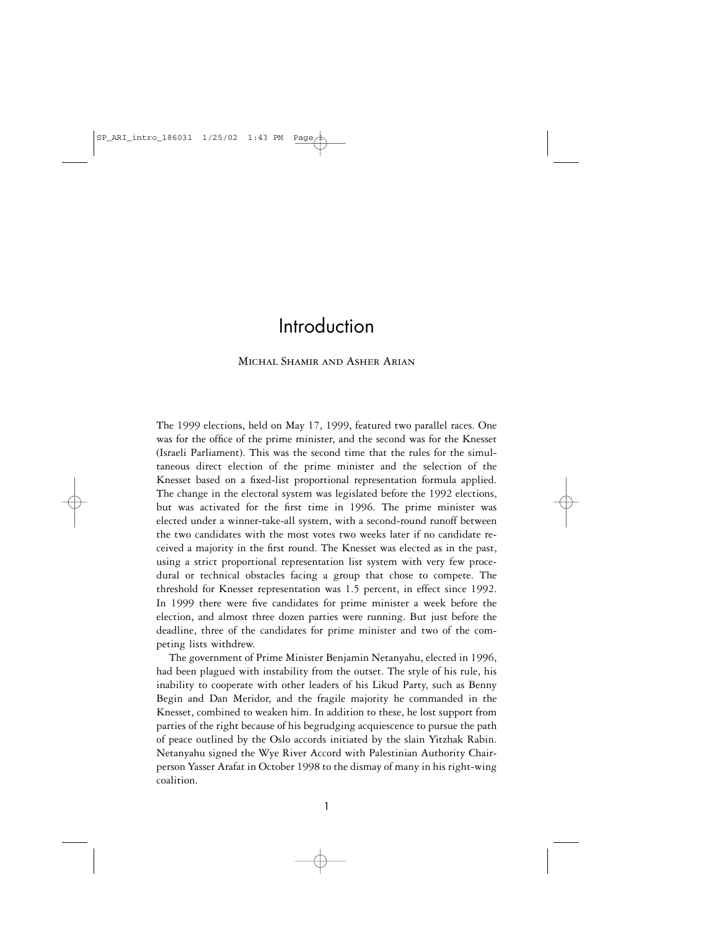## Introduction

## Michal Shamir and Asher Arian

The 1999 elections, held on May 17, 1999, featured two parallel races. One was for the office of the prime minister, and the second was for the Knesset (Israeli Parliament). This was the second time that the rules for the simultaneous direct election of the prime minister and the selection of the Knesset based on a fixed-list proportional representation formula applied. The change in the electoral system was legislated before the 1992 elections, but was activated for the first time in 1996. The prime minister was elected under a winner-take-all system, with a second-round runoff between the two candidates with the most votes two weeks later if no candidate received a majority in the first round. The Knesset was elected as in the past, using a strict proportional representation list system with very few procedural or technical obstacles facing a group that chose to compete. The threshold for Knesset representation was 1.5 percent, in effect since 1992. In 1999 there were five candidates for prime minister a week before the election, and almost three dozen parties were running. But just before the deadline, three of the candidates for prime minister and two of the competing lists withdrew.

The government of Prime Minister Benjamin Netanyahu, elected in 1996, had been plagued with instability from the outset. The style of his rule, his inability to cooperate with other leaders of his Likud Party, such as Benny Begin and Dan Meridor, and the fragile majority he commanded in the Knesset, combined to weaken him. In addition to these, he lost support from parties of the right because of his begrudging acquiescence to pursue the path of peace outlined by the Oslo accords initiated by the slain Yitzhak Rabin. Netanyahu signed the Wye River Accord with Palestinian Authority Chairperson Yasser Arafat in October 1998 to the dismay of many in his right-wing coalition.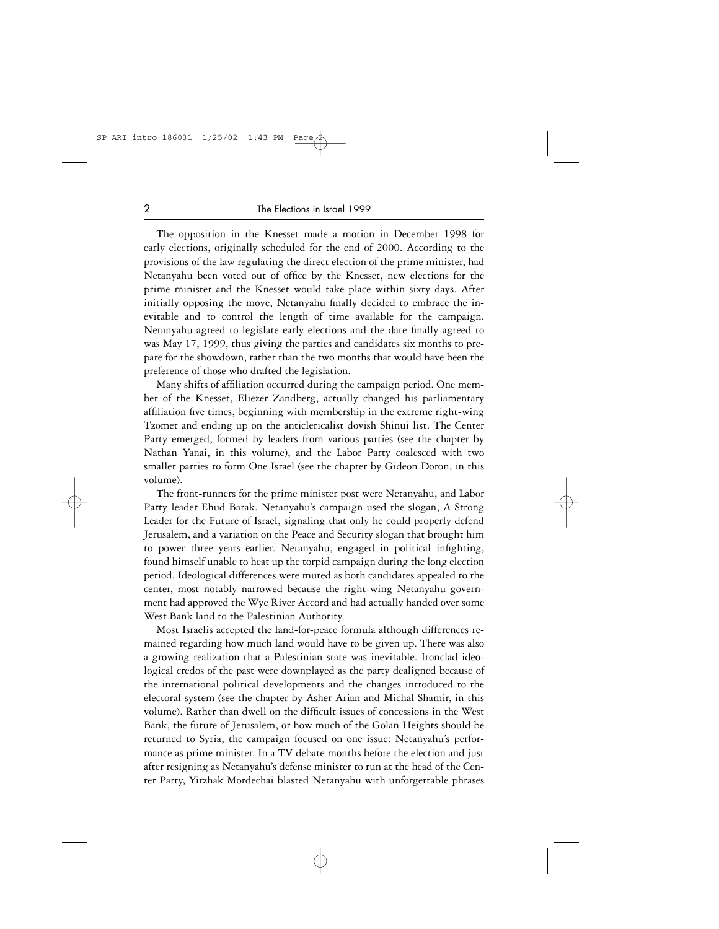The opposition in the Knesset made a motion in December 1998 for early elections, originally scheduled for the end of 2000. According to the provisions of the law regulating the direct election of the prime minister, had Netanyahu been voted out of office by the Knesset, new elections for the prime minister and the Knesset would take place within sixty days. After initially opposing the move, Netanyahu finally decided to embrace the inevitable and to control the length of time available for the campaign. Netanyahu agreed to legislate early elections and the date finally agreed to was May 17, 1999, thus giving the parties and candidates six months to prepare for the showdown, rather than the two months that would have been the preference of those who drafted the legislation.

Many shifts of affiliation occurred during the campaign period. One member of the Knesset, Eliezer Zandberg, actually changed his parliamentary affiliation five times, beginning with membership in the extreme right-wing Tzomet and ending up on the anticlericalist dovish Shinui list. The Center Party emerged, formed by leaders from various parties (see the chapter by Nathan Yanai, in this volume), and the Labor Party coalesced with two smaller parties to form One Israel (see the chapter by Gideon Doron, in this volume).

The front-runners for the prime minister post were Netanyahu, and Labor Party leader Ehud Barak. Netanyahu's campaign used the slogan, A Strong Leader for the Future of Israel, signaling that only he could properly defend Jerusalem, and a variation on the Peace and Security slogan that brought him to power three years earlier. Netanyahu, engaged in political infighting, found himself unable to heat up the torpid campaign during the long election period. Ideological differences were muted as both candidates appealed to the center, most notably narrowed because the right-wing Netanyahu government had approved the Wye River Accord and had actually handed over some West Bank land to the Palestinian Authority.

Most Israelis accepted the land-for-peace formula although differences remained regarding how much land would have to be given up. There was also a growing realization that a Palestinian state was inevitable. Ironclad ideological credos of the past were downplayed as the party dealigned because of the international political developments and the changes introduced to the electoral system (see the chapter by Asher Arian and Michal Shamir, in this volume). Rather than dwell on the difficult issues of concessions in the West Bank, the future of Jerusalem, or how much of the Golan Heights should be returned to Syria, the campaign focused on one issue: Netanyahu's performance as prime minister. In a TV debate months before the election and just after resigning as Netanyahu's defense minister to run at the head of the Center Party, Yitzhak Mordechai blasted Netanyahu with unforgettable phrases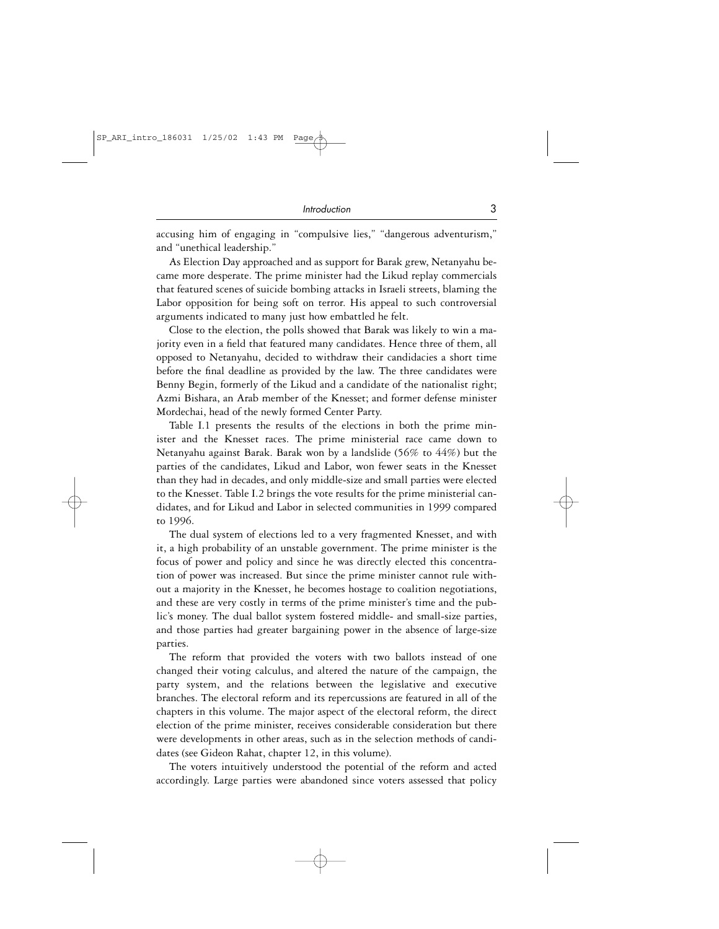accusing him of engaging in "compulsive lies," "dangerous adventurism," and "unethical leadership."

As Election Day approached and as support for Barak grew, Netanyahu became more desperate. The prime minister had the Likud replay commercials that featured scenes of suicide bombing attacks in Israeli streets, blaming the Labor opposition for being soft on terror. His appeal to such controversial arguments indicated to many just how embattled he felt.

Close to the election, the polls showed that Barak was likely to win a majority even in a field that featured many candidates. Hence three of them, all opposed to Netanyahu, decided to withdraw their candidacies a short time before the final deadline as provided by the law. The three candidates were Benny Begin, formerly of the Likud and a candidate of the nationalist right; Azmi Bishara, an Arab member of the Knesset; and former defense minister Mordechai, head of the newly formed Center Party.

Table I.1 presents the results of the elections in both the prime minister and the Knesset races. The prime ministerial race came down to Netanyahu against Barak. Barak won by a landslide (56% to 44%) but the parties of the candidates, Likud and Labor, won fewer seats in the Knesset than they had in decades, and only middle-size and small parties were elected to the Knesset. Table I.2 brings the vote results for the prime ministerial candidates, and for Likud and Labor in selected communities in 1999 compared to 1996.

The dual system of elections led to a very fragmented Knesset, and with it, a high probability of an unstable government. The prime minister is the focus of power and policy and since he was directly elected this concentration of power was increased. But since the prime minister cannot rule without a majority in the Knesset, he becomes hostage to coalition negotiations, and these are very costly in terms of the prime minister's time and the public's money. The dual ballot system fostered middle- and small-size parties, and those parties had greater bargaining power in the absence of large-size parties.

The reform that provided the voters with two ballots instead of one changed their voting calculus, and altered the nature of the campaign, the party system, and the relations between the legislative and executive branches. The electoral reform and its repercussions are featured in all of the chapters in this volume. The major aspect of the electoral reform, the direct election of the prime minister, receives considerable consideration but there were developments in other areas, such as in the selection methods of candidates (see Gideon Rahat, chapter 12, in this volume).

The voters intuitively understood the potential of the reform and acted accordingly. Large parties were abandoned since voters assessed that policy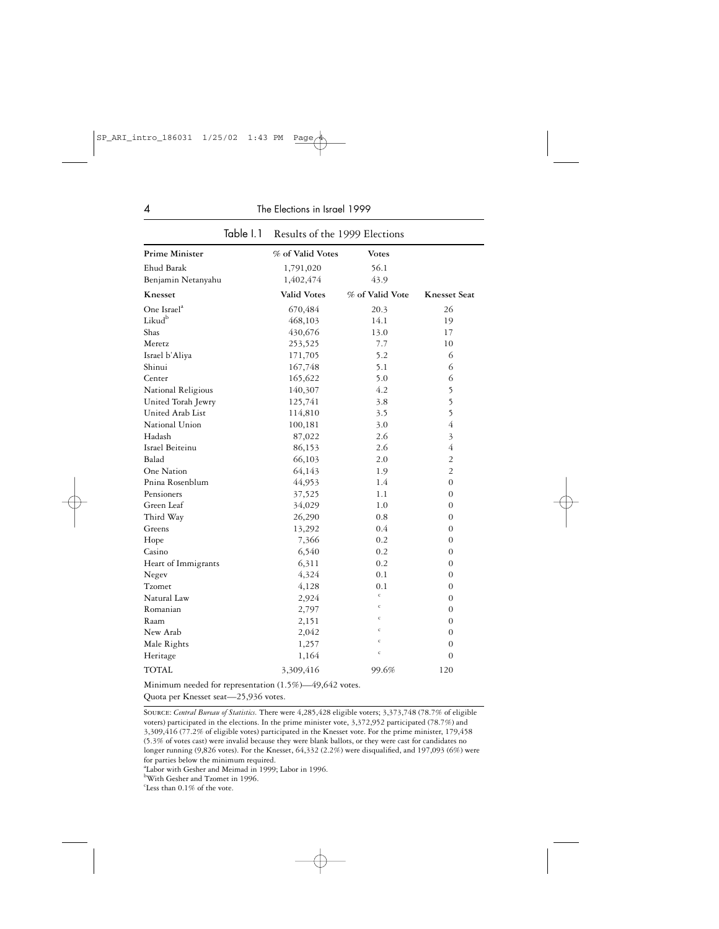| <b>Prime Minister</b>   | % of Valid Votes   | <b>Votes</b>        |                         |
|-------------------------|--------------------|---------------------|-------------------------|
| Ehud Barak              | 1,791,020          | 56.1                |                         |
| Benjamin Netanyahu      | 1,402,474<br>43.9  |                     |                         |
| Knesset                 | <b>Valid Votes</b> | % of Valid Vote     | <b>Knesset Seat</b>     |
| One Israel <sup>a</sup> | 670,484            | 20.3                | 26                      |
| Likud <sup>b</sup>      | 468,103            | 14.1                | 19                      |
| Shas                    | 430,676            | 13.0                | 17                      |
| Meretz                  | 253,525            | 7.7                 | 10                      |
| Israel b'Aliya          | 171,705            | 5.2                 | 6                       |
| Shinui                  | 167,748            | 5.1                 | 6                       |
| Center                  | 165,622            | 5.0                 | 6                       |
| National Religious      | 140,307            | 4.2                 | 5                       |
| United Torah Jewry      | 125,741            | 3.8                 | 5                       |
| United Arab List        | 114,810            | 3.5                 | 5                       |
| National Union          | 100,181            | 3.0                 | $\overline{4}$          |
| Hadash                  | 87,022             | 2.6                 | $\overline{\mathbf{3}}$ |
| Israel Beiteinu         | 86,153             | 2.6                 | 4                       |
| Balad                   | 66,103             | 2.0                 | $\overline{2}$          |
| One Nation              | 64,143             | 1.9                 | $\overline{2}$          |
| Pnina Rosenblum         | 44,953             | 1.4                 | $\overline{0}$          |
| Pensioners              | 37,525             | 1.1                 | $\overline{0}$          |
| Green Leaf              | 34,029             | 1.0                 | $\overline{0}$          |
| Third Way               | 26,290             | 0.8                 | $\overline{0}$          |
| Greens                  | 13,292             | 0.4                 | $\overline{0}$          |
| Hope                    | 7,366              | 0.2                 | $\overline{0}$          |
| Casino                  | 6,540              | 0.2                 | $\overline{0}$          |
| Heart of Immigrants     | 6,311              | 0.2                 | $\overline{0}$          |
| Negev                   | 4,324              | 0.1                 | $\overline{0}$          |
| Tzomet                  | 4,128              | 0.1                 | $\overline{0}$          |
| Natural Law             | 2,924              | $\mathsf{c}$        | $\overline{0}$          |
| Romanian                | 2,797              | $\mathsf{c}\xspace$ | 0                       |
| Raam                    | 2,151              | $\mathsf{c}\xspace$ | 0                       |
| New Arab                | 2,042              | $\mathsf{C}$        | $\overline{0}$          |
| Male Rights             | 1,257              | $\epsilon$          | 0                       |
| Heritage                | 1,164              | $\epsilon$          | $\overline{0}$          |
| <b>TOTAL</b>            | 3,309,416          | 99.6%               | 120                     |

Table I.1 Results of the 1999 Elections

Minimum needed for representation (1.5%)—49,642 votes.

Quota per Knesset seat—25,936 votes.

Source: *Central Bureau of Statistics.* There were 4,285,428 eligible voters; 3,373,748 (78.7% of eligible voters) participated in the elections. In the prime minister vote, 3,372,952 participated (78.7%) and 3,309,416 (77.2% of eligible votes) participated in the Knesset vote. For the prime minister, 179,458 (5.3% of votes cast) were invalid because they were blank ballots, or they were cast for candidates no longer running (9,826 votes). For the Knesset, 64,332 (2.2%) were disqualified, and 197,093 (6%) were for parties below the minimum required.

a Labor with Gesher and Meimad in 1999; Labor in 1996.

b With Gesher and Tzomet in 1996.

c Less than 0.1% of the vote.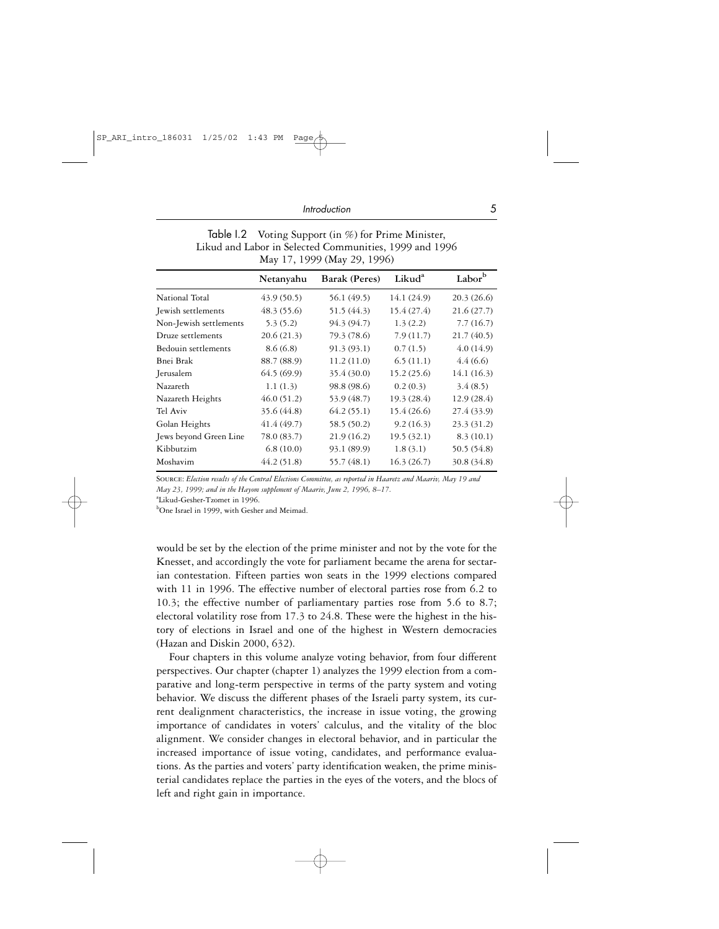|                        | Netanyahu   | Barak (Peres) | Likud <sup>a</sup> | Labor <sup>b</sup> |  |
|------------------------|-------------|---------------|--------------------|--------------------|--|
| National Total         | 43.9(50.5)  | 56.1 (49.5)   | 14.1 (24.9)        | 20.3(26.6)         |  |
| Jewish settlements     | 48.3(55.6)  | 51.5(44.3)    | 15.4 (27.4)        | 21.6(27.7)         |  |
| Non-Jewish settlements | 5.3(5.2)    | 94.3 (94.7)   | 1.3(2.2)           | 7.7(16.7)          |  |
| Druze settlements      | 20.6(21.3)  | 79.3 (78.6)   | 7.9(11.7)          | 21.7(40.5)         |  |
| Bedouin settlements    | 8.6(6.8)    | 91.3 (93.1)   | 0.7(1.5)           | 4.0(14.9)          |  |
| Bnei Brak              | 88.7 (88.9) | 11.2(11.0)    | 6.5(11.1)          | 4.4(6.6)           |  |
| Jerusalem              | 64.5(69.9)  | 35.4 (30.0)   | 15.2(25.6)         | 14.1(16.3)         |  |
| Nazareth               | 1.1(1.3)    | 98.8 (98.6)   | 0.2(0.3)           | 3.4(8.5)           |  |
| Nazareth Heights       | 46.0(51.2)  | 53.9 (48.7)   | 19.3 (28.4)        | 12.9(28.4)         |  |
| Tel Aviv               | 35.6 (44.8) | 64.2(55.1)    | 15.4 (26.6)        | 27.4 (33.9)        |  |
| Golan Heights          | 41.4(49.7)  | 58.5 (50.2)   | 9.2(16.3)          | 23.3 (31.2)        |  |
| Jews beyond Green Line | 78.0 (83.7) | 21.9(16.2)    | 19.5 (32.1)        | 8.3(10.1)          |  |
| Kibbutzim              | 6.8(10.0)   | 93.1 (89.9)   | 1.8(3.1)           | 50.5 (54.8)        |  |
| Moshavim               | 44.2(51.8)  | 55.7 (48.1)   | 16.3(26.7)         | 30.8 (34.8)        |  |
|                        |             |               |                    |                    |  |

Table I.2 Voting Support (in %) for Prime Minister, Likud and Labor in Selected Communities, 1999 and 1996 May 17, 1999 (May 29, 1996)

Source: *Election results of the Central Elections Committee, as reported in Haaretz and Maariv, May 19 and May 23, 1999; and in the Hayom supplement of Maariv, June 2, 1996, 8–17.*

a Likud-Gesher-Tzomet in 1996.

b One Israel in 1999, with Gesher and Meimad.

would be set by the election of the prime minister and not by the vote for the Knesset, and accordingly the vote for parliament became the arena for sectarian contestation. Fifteen parties won seats in the 1999 elections compared with 11 in 1996. The effective number of electoral parties rose from 6.2 to 10.3; the effective number of parliamentary parties rose from 5.6 to 8.7; electoral volatility rose from 17.3 to 24.8. These were the highest in the history of elections in Israel and one of the highest in Western democracies (Hazan and Diskin 2000, 632).

Four chapters in this volume analyze voting behavior, from four different perspectives. Our chapter (chapter 1) analyzes the 1999 election from a comparative and long-term perspective in terms of the party system and voting behavior. We discuss the different phases of the Israeli party system, its current dealignment characteristics, the increase in issue voting, the growing importance of candidates in voters' calculus, and the vitality of the bloc alignment. We consider changes in electoral behavior, and in particular the increased importance of issue voting, candidates, and performance evaluations. As the parties and voters' party identification weaken, the prime ministerial candidates replace the parties in the eyes of the voters, and the blocs of left and right gain in importance.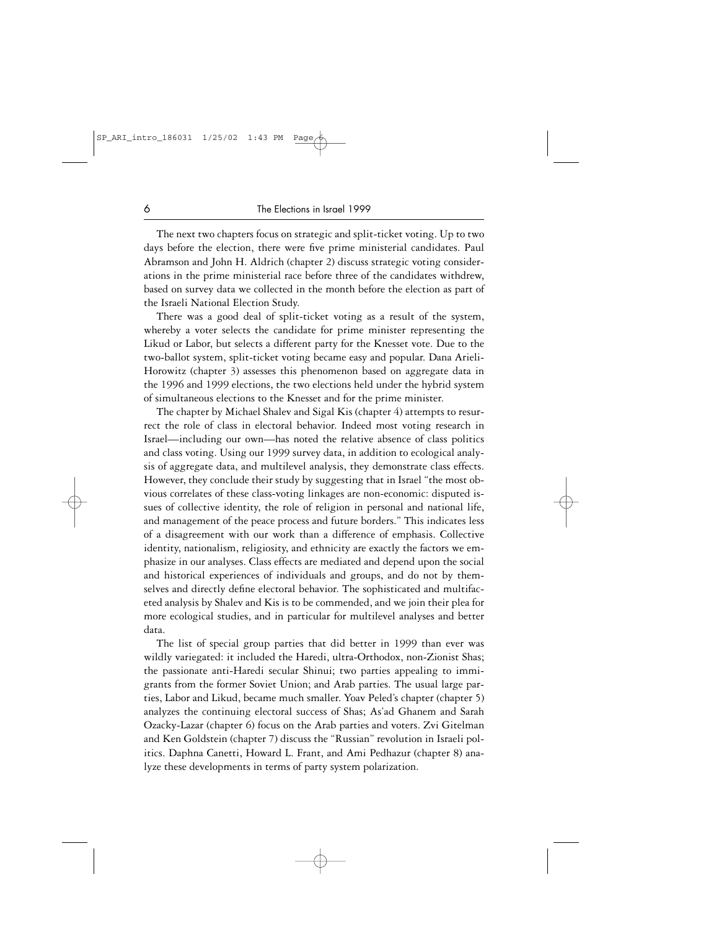The next two chapters focus on strategic and split-ticket voting. Up to two days before the election, there were five prime ministerial candidates. Paul Abramson and John H. Aldrich (chapter 2) discuss strategic voting considerations in the prime ministerial race before three of the candidates withdrew, based on survey data we collected in the month before the election as part of the Israeli National Election Study.

There was a good deal of split-ticket voting as a result of the system, whereby a voter selects the candidate for prime minister representing the Likud or Labor, but selects a different party for the Knesset vote. Due to the two-ballot system, split-ticket voting became easy and popular. Dana Arieli-Horowitz (chapter 3) assesses this phenomenon based on aggregate data in the 1996 and 1999 elections, the two elections held under the hybrid system of simultaneous elections to the Knesset and for the prime minister.

The chapter by Michael Shalev and Sigal Kis (chapter 4) attempts to resurrect the role of class in electoral behavior. Indeed most voting research in Israel—including our own—has noted the relative absence of class politics and class voting. Using our 1999 survey data, in addition to ecological analysis of aggregate data, and multilevel analysis, they demonstrate class effects. However, they conclude their study by suggesting that in Israel "the most obvious correlates of these class-voting linkages are non-economic: disputed issues of collective identity, the role of religion in personal and national life, and management of the peace process and future borders." This indicates less of a disagreement with our work than a difference of emphasis. Collective identity, nationalism, religiosity, and ethnicity are exactly the factors we emphasize in our analyses. Class effects are mediated and depend upon the social and historical experiences of individuals and groups, and do not by themselves and directly define electoral behavior. The sophisticated and multifaceted analysis by Shalev and Kis is to be commended, and we join their plea for more ecological studies, and in particular for multilevel analyses and better data.

The list of special group parties that did better in 1999 than ever was wildly variegated: it included the Haredi, ultra-Orthodox, non-Zionist Shas; the passionate anti-Haredi secular Shinui; two parties appealing to immigrants from the former Soviet Union; and Arab parties. The usual large parties, Labor and Likud, became much smaller. Yoav Peled's chapter (chapter 5) analyzes the continuing electoral success of Shas; As'ad Ghanem and Sarah Ozacky-Lazar (chapter 6) focus on the Arab parties and voters. Zvi Gitelman and Ken Goldstein (chapter 7) discuss the "Russian" revolution in Israeli politics. Daphna Canetti, Howard L. Frant, and Ami Pedhazur (chapter 8) analyze these developments in terms of party system polarization.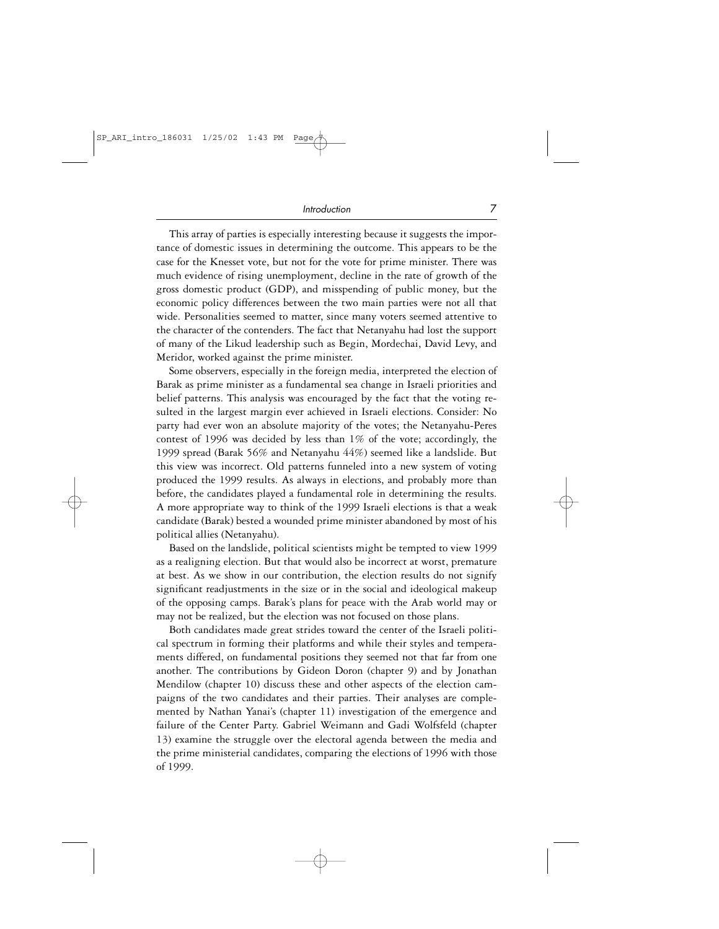This array of parties is especially interesting because it suggests the importance of domestic issues in determining the outcome. This appears to be the case for the Knesset vote, but not for the vote for prime minister. There was much evidence of rising unemployment, decline in the rate of growth of the gross domestic product (GDP), and misspending of public money, but the economic policy differences between the two main parties were not all that wide. Personalities seemed to matter, since many voters seemed attentive to the character of the contenders. The fact that Netanyahu had lost the support of many of the Likud leadership such as Begin, Mordechai, David Levy, and Meridor, worked against the prime minister.

Some observers, especially in the foreign media, interpreted the election of Barak as prime minister as a fundamental sea change in Israeli priorities and belief patterns. This analysis was encouraged by the fact that the voting resulted in the largest margin ever achieved in Israeli elections. Consider: No party had ever won an absolute majority of the votes; the Netanyahu-Peres contest of 1996 was decided by less than 1% of the vote; accordingly, the 1999 spread (Barak 56% and Netanyahu 44%) seemed like a landslide. But this view was incorrect. Old patterns funneled into a new system of voting produced the 1999 results. As always in elections, and probably more than before, the candidates played a fundamental role in determining the results. A more appropriate way to think of the 1999 Israeli elections is that a weak candidate (Barak) bested a wounded prime minister abandoned by most of his political allies (Netanyahu).

Based on the landslide, political scientists might be tempted to view 1999 as a realigning election. But that would also be incorrect at worst, premature at best. As we show in our contribution, the election results do not signify significant readjustments in the size or in the social and ideological makeup of the opposing camps. Barak's plans for peace with the Arab world may or may not be realized, but the election was not focused on those plans.

Both candidates made great strides toward the center of the Israeli political spectrum in forming their platforms and while their styles and temperaments differed, on fundamental positions they seemed not that far from one another. The contributions by Gideon Doron (chapter 9) and by Jonathan Mendilow (chapter 10) discuss these and other aspects of the election campaigns of the two candidates and their parties. Their analyses are complemented by Nathan Yanai's (chapter 11) investigation of the emergence and failure of the Center Party. Gabriel Weimann and Gadi Wolfsfeld (chapter 13) examine the struggle over the electoral agenda between the media and the prime ministerial candidates, comparing the elections of 1996 with those of 1999.